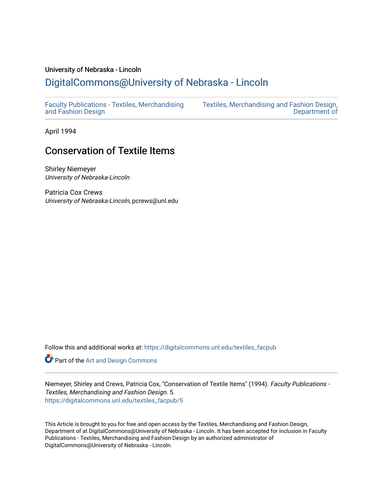#### University of Nebraska - Lincoln

# [DigitalCommons@University of Nebraska - Lincoln](https://digitalcommons.unl.edu/)

[Faculty Publications - Textiles, Merchandising](https://digitalcommons.unl.edu/textiles_facpub)  [and Fashion Design](https://digitalcommons.unl.edu/textiles_facpub) 

[Textiles, Merchandising and Fashion Design,](https://digitalcommons.unl.edu/textiles)  [Department of](https://digitalcommons.unl.edu/textiles) 

April 1994

# Conservation of Textile Items

Shirley Niemeyer University of Nebraska-Lincoln

Patricia Cox Crews University of Nebraska-Lincoln, pcrews@unl.edu

Follow this and additional works at: [https://digitalcommons.unl.edu/textiles\\_facpub](https://digitalcommons.unl.edu/textiles_facpub?utm_source=digitalcommons.unl.edu%2Ftextiles_facpub%2F5&utm_medium=PDF&utm_campaign=PDFCoverPages) 

**Part of the [Art and Design Commons](http://network.bepress.com/hgg/discipline/1049?utm_source=digitalcommons.unl.edu%2Ftextiles_facpub%2F5&utm_medium=PDF&utm_campaign=PDFCoverPages)** 

Niemeyer, Shirley and Crews, Patricia Cox, "Conservation of Textile Items" (1994). Faculty Publications - Textiles, Merchandising and Fashion Design. 5. [https://digitalcommons.unl.edu/textiles\\_facpub/5](https://digitalcommons.unl.edu/textiles_facpub/5?utm_source=digitalcommons.unl.edu%2Ftextiles_facpub%2F5&utm_medium=PDF&utm_campaign=PDFCoverPages) 

This Article is brought to you for free and open access by the Textiles, Merchandising and Fashion Design, Department of at DigitalCommons@University of Nebraska - Lincoln. It has been accepted for inclusion in Faculty Publications - Textiles, Merchandising and Fashion Design by an authorized administrator of DigitalCommons@University of Nebraska - Lincoln.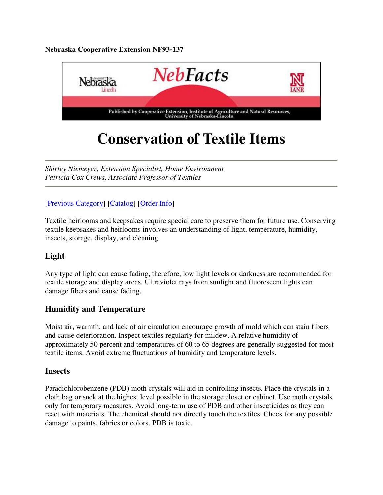#### **Nebraska Cooperative Extension NF93-137**



# **Conservation of Textile Items**

*Shirley Niemeyer, Extension Specialist, Home Environment Patricia Cox Crews, Associate Professor of Textiles*

#### [Previous Category] [Catalog] [Order Info]

Textile heirlooms and keepsakes require special care to preserve them for future use. Conserving textile keepsakes and heirlooms involves an understanding of light, temperature, humidity, insects, storage, display, and cleaning.

#### **Light**

Any type of light can cause fading, therefore, low light levels or darkness are recommended for textile storage and display areas. Ultraviolet rays from sunlight and fluorescent lights can damage fibers and cause fading.

#### **Humidity and Temperature**

Moist air, warmth, and lack of air circulation encourage growth of mold which can stain fibers and cause deterioration. Inspect textiles regularly for mildew. A relative humidity of approximately 50 percent and temperatures of 60 to 65 degrees are generally suggested for most textile items. Avoid extreme fluctuations of humidity and temperature levels.

#### **Insects**

Paradichlorobenzene (PDB) moth crystals will aid in controlling insects. Place the crystals in a cloth bag or sock at the highest level possible in the storage closet or cabinet. Use moth crystals only for temporary measures. Avoid long-term use of PDB and other insecticides as they can react with materials. The chemical should not directly touch the textiles. Check for any possible damage to paints, fabrics or colors. PDB is toxic.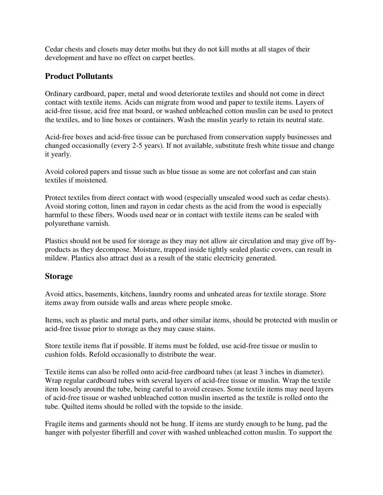Cedar chests and closets may deter moths but they do not kill moths at all stages of their development and have no effect on carpet beetles.

#### **Product Pollutants**

Ordinary cardboard, paper, metal and wood deteriorate textiles and should not come in direct contact with textile items. Acids can migrate from wood and paper to textile items. Layers of acid-free tissue, acid free mat board, or washed unbleached cotton muslin can be used to protect the textiles, and to line boxes or containers. Wash the muslin yearly to retain its neutral state.

Acid-free boxes and acid-free tissue can be purchased from conservation supply businesses and changed occasionally (every 2-5 years). If not available, substitute fresh white tissue and change it yearly.

Avoid colored papers and tissue such as blue tissue as some are not colorfast and can stain textiles if moistened.

Protect textiles from direct contact with wood (especially unsealed wood such as cedar chests). Avoid storing cotton, linen and rayon in cedar chests as the acid from the wood is especially harmful to these fibers. Woods used near or in contact with textile items can be sealed with polyurethane varnish.

Plastics should not be used for storage as they may not allow air circulation and may give off byproducts as they decompose. Moisture, trapped inside tightly sealed plastic covers, can result in mildew. Plastics also attract dust as a result of the static electricity generated.

#### **Storage**

Avoid attics, basements, kitchens, laundry rooms and unheated areas for textile storage. Store items away from outside walls and areas where people smoke.

Items, such as plastic and metal parts, and other similar items, should be protected with muslin or acid-free tissue prior to storage as they may cause stains.

Store textile items flat if possible. If items must be folded, use acid-free tissue or muslin to cushion folds. Refold occasionally to distribute the wear.

Textile items can also be rolled onto acid-free cardboard tubes (at least 3 inches in diameter). Wrap regular cardboard tubes with several layers of acid-free tissue or muslin. Wrap the textile item loosely around the tube, being careful to avoid creases. Some textile items may need layers of acid-free tissue or washed unbleached cotton muslin inserted as the textile is rolled onto the tube. Quilted items should be rolled with the topside to the inside.

Fragile items and garments should not be hung. If items are sturdy enough to be hung, pad the hanger with polyester fiberfill and cover with washed unbleached cotton muslin. To support the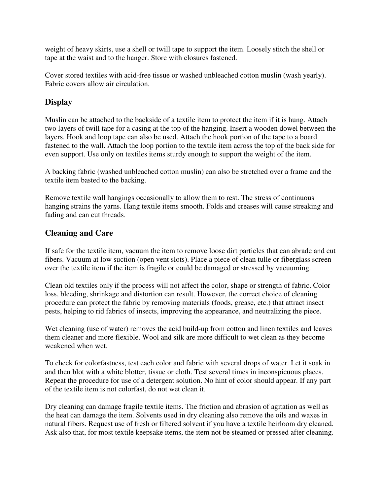weight of heavy skirts, use a shell or twill tape to support the item. Loosely stitch the shell or tape at the waist and to the hanger. Store with closures fastened.

Cover stored textiles with acid-free tissue or washed unbleached cotton muslin (wash yearly). Fabric covers allow air circulation.

### **Display**

Muslin can be attached to the backside of a textile item to protect the item if it is hung. Attach two layers of twill tape for a casing at the top of the hanging. Insert a wooden dowel between the layers. Hook and loop tape can also be used. Attach the hook portion of the tape to a board fastened to the wall. Attach the loop portion to the textile item across the top of the back side for even support. Use only on textiles items sturdy enough to support the weight of the item.

A backing fabric (washed unbleached cotton muslin) can also be stretched over a frame and the textile item basted to the backing.

Remove textile wall hangings occasionally to allow them to rest. The stress of continuous hanging strains the yarns. Hang textile items smooth. Folds and creases will cause streaking and fading and can cut threads.

### **Cleaning and Care**

If safe for the textile item, vacuum the item to remove loose dirt particles that can abrade and cut fibers. Vacuum at low suction (open vent slots). Place a piece of clean tulle or fiberglass screen over the textile item if the item is fragile or could be damaged or stressed by vacuuming.

Clean old textiles only if the process will not affect the color, shape or strength of fabric. Color loss, bleeding, shrinkage and distortion can result. However, the correct choice of cleaning procedure can protect the fabric by removing materials (foods, grease, etc.) that attract insect pests, helping to rid fabrics of insects, improving the appearance, and neutralizing the piece.

Wet cleaning (use of water) removes the acid build-up from cotton and linen textiles and leaves them cleaner and more flexible. Wool and silk are more difficult to wet clean as they become weakened when wet.

To check for colorfastness, test each color and fabric with several drops of water. Let it soak in and then blot with a white blotter, tissue or cloth. Test several times in inconspicuous places. Repeat the procedure for use of a detergent solution. No hint of color should appear. If any part of the textile item is not colorfast, do not wet clean it.

Dry cleaning can damage fragile textile items. The friction and abrasion of agitation as well as the heat can damage the item. Solvents used in dry cleaning also remove the oils and waxes in natural fibers. Request use of fresh or filtered solvent if you have a textile heirloom dry cleaned. Ask also that, for most textile keepsake items, the item not be steamed or pressed after cleaning.